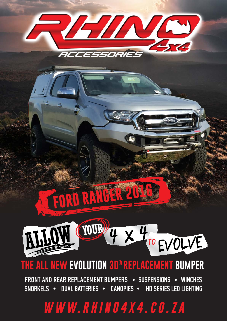

# **FORD RANGER**



# THE ALL NEW EVOLUTION 3D® REPLACEMENT BUMPER

FRONT AND REAR REPLACEMENT BUMPERS . SUSPENSIONS . WINCHES SNORKELS . DUAL BATTERIES . CANOPIES . HD SERIES LED LIGHTING

# WWW.RHINO4X4.CO.ZA